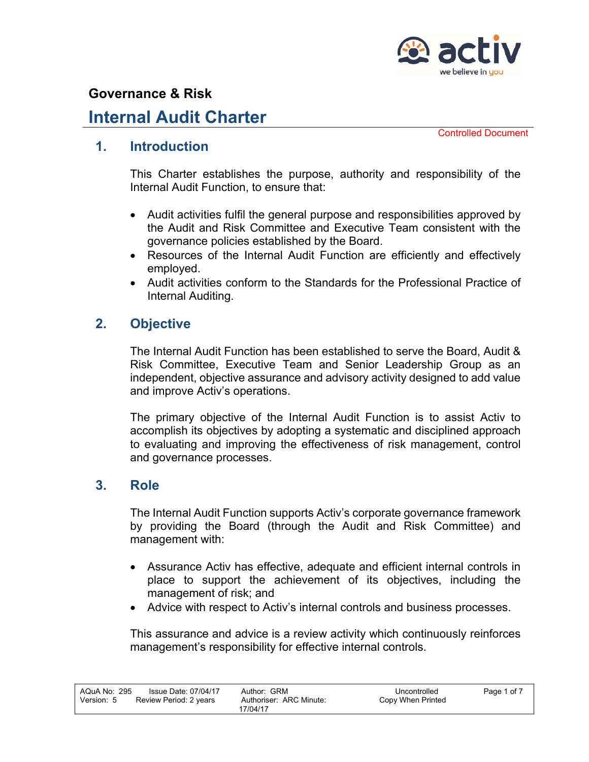

## **Internal Audit Charter**

Controlled Document

#### **1. Introduction**

This Charter establishes the purpose, authority and responsibility of the Internal Audit Function, to ensure that:

- Audit activities fulfil the general purpose and responsibilities approved by the Audit and Risk Committee and Executive Team consistent with the governance policies established by the Board.
- Resources of the Internal Audit Function are efficiently and effectively employed.
- Audit activities conform to the Standards for the Professional Practice of Internal Auditing.

### **2. Objective**

The Internal Audit Function has been established to serve the Board, Audit & Risk Committee, Executive Team and Senior Leadership Group as an independent, objective assurance and advisory activity designed to add value and improve Activ's operations.

The primary objective of the Internal Audit Function is to assist Activ to accomplish its objectives by adopting a systematic and disciplined approach to evaluating and improving the effectiveness of risk management, control and governance processes.

#### **3. Role**

The Internal Audit Function supports Activ's corporate governance framework by providing the Board (through the Audit and Risk Committee) and management with:

- Assurance Activ has effective, adequate and efficient internal controls in place to support the achievement of its objectives, including the management of risk; and
- Advice with respect to Activ's internal controls and business processes.

This assurance and advice is a review activity which continuously reinforces management's responsibility for effective internal controls.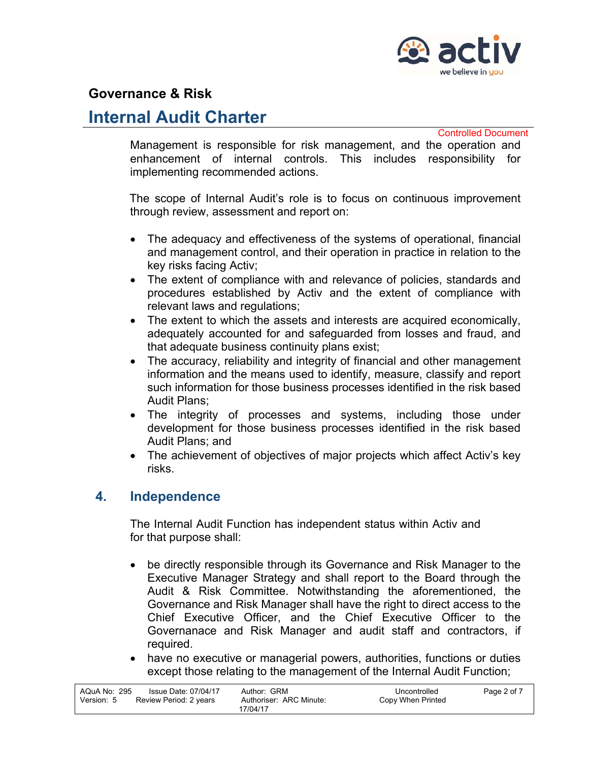

## **Internal Audit Charter**

Controlled Document

Management is responsible for risk management, and the operation and enhancement of internal controls. This includes responsibility for implementing recommended actions.

The scope of Internal Audit's role is to focus on continuous improvement through review, assessment and report on:

- The adequacy and effectiveness of the systems of operational, financial and management control, and their operation in practice in relation to the key risks facing Activ;
- The extent of compliance with and relevance of policies, standards and procedures established by Activ and the extent of compliance with relevant laws and regulations;
- The extent to which the assets and interests are acquired economically, adequately accounted for and safeguarded from losses and fraud, and that adequate business continuity plans exist;
- The accuracy, reliability and integrity of financial and other management information and the means used to identify, measure, classify and report such information for those business processes identified in the risk based Audit Plans;
- The integrity of processes and systems, including those under development for those business processes identified in the risk based Audit Plans; and
- The achievement of objectives of major projects which affect Activ's key risks.

#### **4. Independence**

The Internal Audit Function has independent status within Activ and for that purpose shall:

- be directly responsible through its Governance and Risk Manager to the Executive Manager Strategy and shall report to the Board through the Audit & Risk Committee. Notwithstanding the aforementioned, the Governance and Risk Manager shall have the right to direct access to the Chief Executive Officer, and the Chief Executive Officer to the Governanace and Risk Manager and audit staff and contractors, if required.
- have no executive or managerial powers, authorities, functions or duties except those relating to the management of the Internal Audit Function;

| AQuA No: 295 | Issue Date: 07/04/17   | Author: GRM             | Uncontrolled      | Page 2 of 7 |
|--------------|------------------------|-------------------------|-------------------|-------------|
| Version: 5   | Review Period: 2 years | Authoriser: ARC Minute: | Copy When Printed |             |
|              |                        | 17/04/17                |                   |             |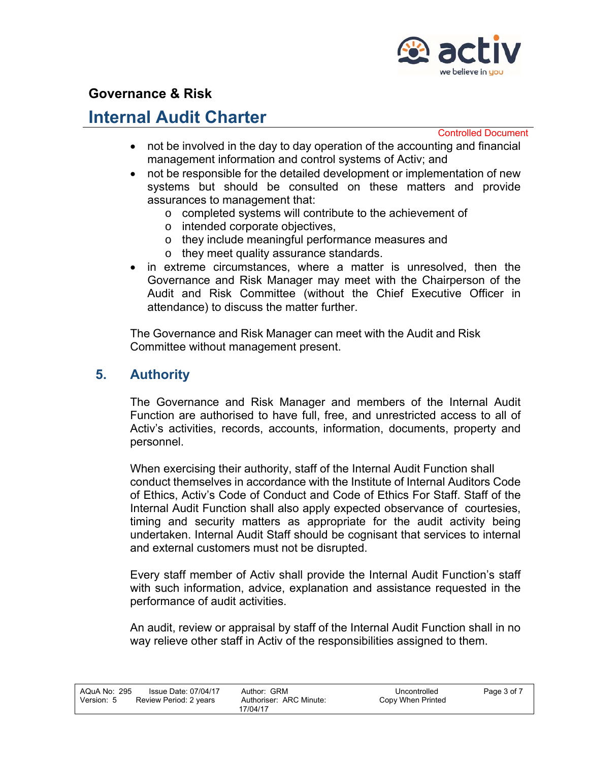

# **Internal Audit Charter**

Controlled Document

- not be involved in the day to day operation of the accounting and financial management information and control systems of Activ; and
- not be responsible for the detailed development or implementation of new systems but should be consulted on these matters and provide assurances to management that:
	- o completed systems will contribute to the achievement of
	- o intended corporate objectives,
	- o they include meaningful performance measures and
	- o they meet quality assurance standards.
- in extreme circumstances, where a matter is unresolved, then the Governance and Risk Manager may meet with the Chairperson of the Audit and Risk Committee (without the Chief Executive Officer in attendance) to discuss the matter further.

The Governance and Risk Manager can meet with the Audit and Risk Committee without management present.

#### **5. Authority**

The Governance and Risk Manager and members of the Internal Audit Function are authorised to have full, free, and unrestricted access to all of Activ's activities, records, accounts, information, documents, property and personnel.

When exercising their authority, staff of the Internal Audit Function shall conduct themselves in accordance with the Institute of Internal Auditors Code of Ethics, Activ's Code of Conduct and Code of Ethics For Staff. Staff of the Internal Audit Function shall also apply expected observance of courtesies, timing and security matters as appropriate for the audit activity being undertaken. Internal Audit Staff should be cognisant that services to internal and external customers must not be disrupted.

Every staff member of Activ shall provide the Internal Audit Function's staff with such information, advice, explanation and assistance requested in the performance of audit activities.

An audit, review or appraisal by staff of the Internal Audit Function shall in no way relieve other staff in Activ of the responsibilities assigned to them.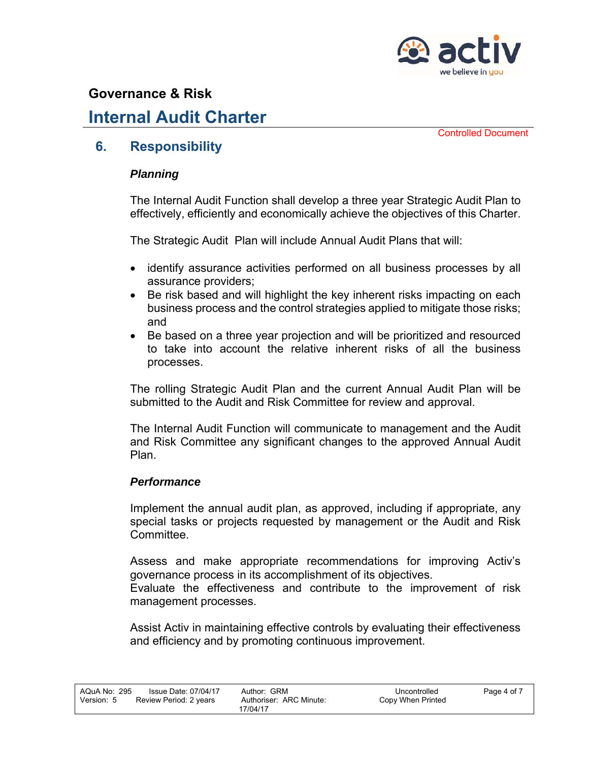

# **Internal Audit Charter**

Controlled Document

#### **6. Responsibility**

#### *Planning*

The Internal Audit Function shall develop a three year Strategic Audit Plan to effectively, efficiently and economically achieve the objectives of this Charter.

The Strategic Audit Plan will include Annual Audit Plans that will:

- identify assurance activities performed on all business processes by all assurance providers;
- Be risk based and will highlight the key inherent risks impacting on each business process and the control strategies applied to mitigate those risks; and
- Be based on a three year projection and will be prioritized and resourced to take into account the relative inherent risks of all the business processes.

The rolling Strategic Audit Plan and the current Annual Audit Plan will be submitted to the Audit and Risk Committee for review and approval.

The Internal Audit Function will communicate to management and the Audit and Risk Committee any significant changes to the approved Annual Audit Plan.

#### *Performance*

Implement the annual audit plan, as approved, including if appropriate, any special tasks or projects requested by management or the Audit and Risk Committee.

Assess and make appropriate recommendations for improving Activ's governance process in its accomplishment of its objectives.

Evaluate the effectiveness and contribute to the improvement of risk management processes.

Assist Activ in maintaining effective controls by evaluating their effectiveness and efficiency and by promoting continuous improvement.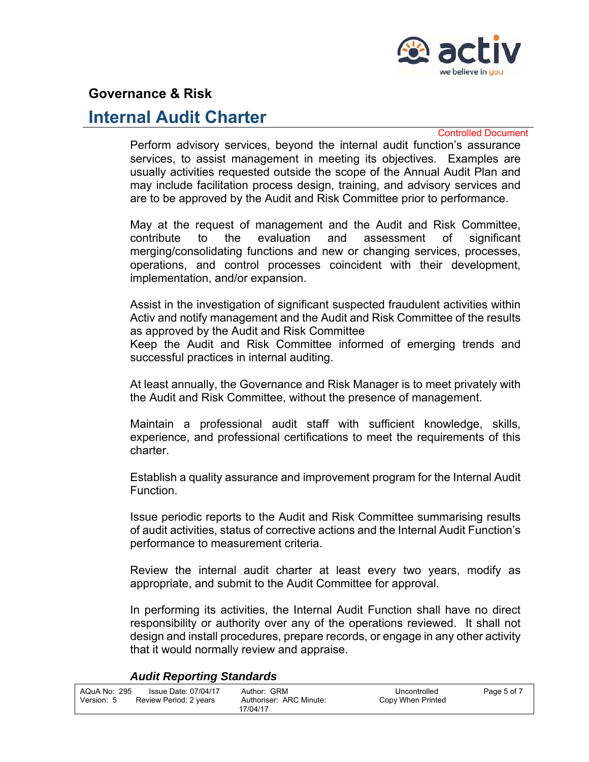

## **Internal Audit Charter**

Controlled Document

Perform advisory services, beyond the internal audit function's assurance services, to assist management in meeting its objectives. Examples are usually activities requested outside the scope of the Annual Audit Plan and may include facilitation process design, training, and advisory services and are to be approved by the Audit and Risk Committee prior to performance.

May at the request of management and the Audit and Risk Committee, contribute to the evaluation and assessment of significant merging/consolidating functions and new or changing services, processes, operations, and control processes coincident with their development, implementation, and/or expansion.

Assist in the investigation of significant suspected fraudulent activities within Activ and notify management and the Audit and Risk Committee of the results as approved by the Audit and Risk Committee

Keep the Audit and Risk Committee informed of emerging trends and successful practices in internal auditing.

At least annually, the Governance and Risk Manager is to meet privately with the Audit and Risk Committee, without the presence of management.

Maintain a professional audit staff with sufficient knowledge, skills, experience, and professional certifications to meet the requirements of this charter.

Establish a quality assurance and improvement program for the Internal Audit Function.

Issue periodic reports to the Audit and Risk Committee summarising results of audit activities, status of corrective actions and the Internal Audit Function's performance to measurement criteria.

Review the internal audit charter at least every two years, modify as appropriate, and submit to the Audit Committee for approval.

In performing its activities, the Internal Audit Function shall have no direct responsibility or authority over any of the operations reviewed. It shall not design and install procedures, prepare records, or engage in any other activity that it would normally review and appraise.

#### *Audit Reporting Standards*

| AQuA No: 295 | <b>Issue Date: 07/04/17</b> | Author: GRM             | Uncontrolled      | Page 5 of 7 |
|--------------|-----------------------------|-------------------------|-------------------|-------------|
| Version: 5   | Review Period: 2 years      | Authoriser: ARC Minute: | Copy When Printed |             |
|              |                             | 17/04/17                |                   |             |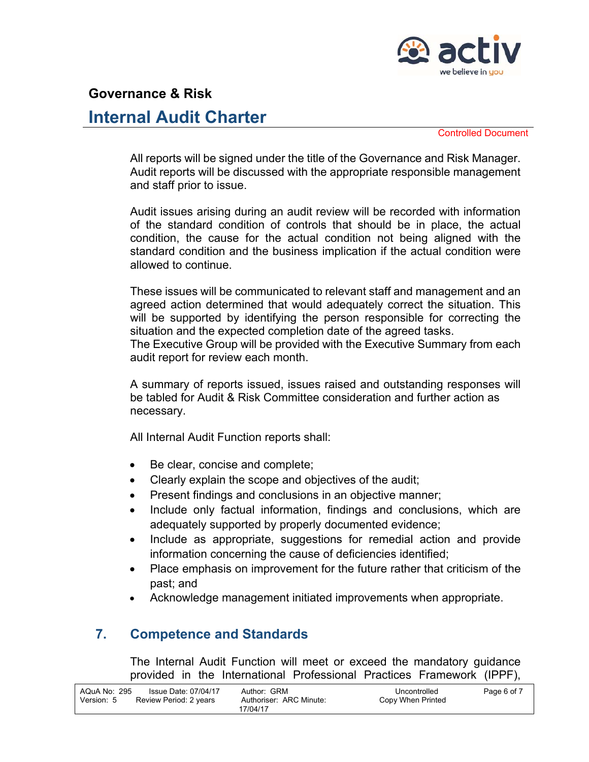

# **Internal Audit Charter**

Controlled Document

All reports will be signed under the title of the Governance and Risk Manager. Audit reports will be discussed with the appropriate responsible management and staff prior to issue.

Audit issues arising during an audit review will be recorded with information of the standard condition of controls that should be in place, the actual condition, the cause for the actual condition not being aligned with the standard condition and the business implication if the actual condition were allowed to continue.

These issues will be communicated to relevant staff and management and an agreed action determined that would adequately correct the situation. This will be supported by identifying the person responsible for correcting the situation and the expected completion date of the agreed tasks.

The Executive Group will be provided with the Executive Summary from each audit report for review each month.

A summary of reports issued, issues raised and outstanding responses will be tabled for Audit & Risk Committee consideration and further action as necessary.

All Internal Audit Function reports shall:

- Be clear, concise and complete;
- Clearly explain the scope and objectives of the audit;
- Present findings and conclusions in an objective manner;
- Include only factual information, findings and conclusions, which are adequately supported by properly documented evidence;
- Include as appropriate, suggestions for remedial action and provide information concerning the cause of deficiencies identified;
- Place emphasis on improvement for the future rather that criticism of the past; and
- Acknowledge management initiated improvements when appropriate.

### **7. Competence and Standards**

The Internal Audit Function will meet or exceed the mandatory guidance provided in the International Professional Practices Framework (IPPF),

| AQuA No: 295 | Issue Date: 07/04/17   | Author: GRM             | Uncontrolled      | Page 6 of 7 |
|--------------|------------------------|-------------------------|-------------------|-------------|
| Version: 5   | Review Period: 2 years | Authoriser: ARC Minute: | Copy When Printed |             |
|              |                        | 17/04/17                |                   |             |